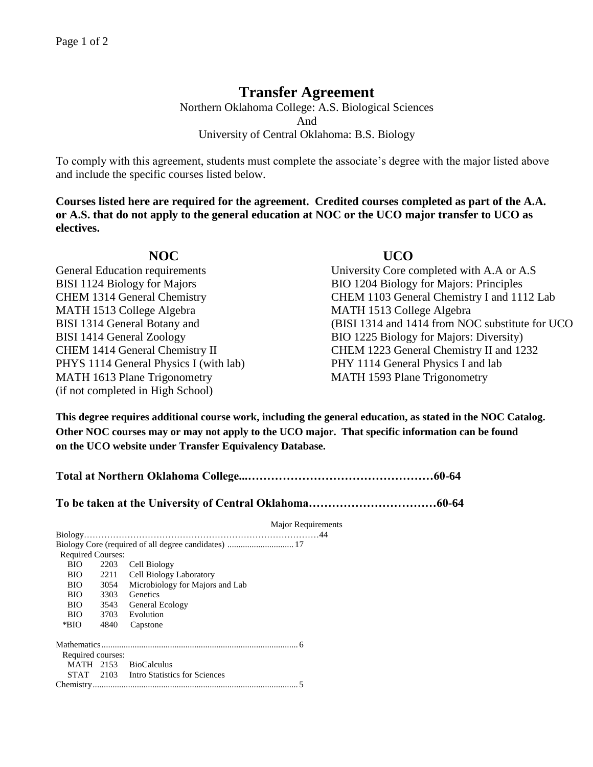# **Transfer Agreement**

Northern Oklahoma College: A.S. Biological Sciences And University of Central Oklahoma: B.S. Biology

To comply with this agreement, students must complete the associate's degree with the major listed above and include the specific courses listed below.

**Courses listed here are required for the agreement. Credited courses completed as part of the A.A. or A.S. that do not apply to the general education at NOC or the UCO major transfer to UCO as electives.**

MATH 1513 College Algebra MATH 1513 College Algebra BISI 1314 General Botany and BISI 1414 General Zoology PHYS 1114 General Physics I (with lab) MATH 1613 Plane Trigonometry (if not completed in High School)

## **NOC UCO**

General Education requirements University Core completed with A.A or A.S BISI 1124 Biology for Majors BIO 1204 Biology for Majors: Principles CHEM 1314 General Chemistry CHEM 1103 General Chemistry I and 1112 Lab (BISI 1314 and 1414 from NOC substitute for UCO BIO 1225 Biology for Majors: Diversity) CHEM 1414 General Chemistry II CHEM 1223 General Chemistry II and 1232 PHY 1114 General Physics I and lab MATH 1593 Plane Trigonometry

**This degree requires additional course work, including the general education, as stated in the NOC Catalog. Other NOC courses may or may not apply to the UCO major. That specific information can be found on the UCO website under Transfer Equivalency Database.**

**Total at Northern Oklahoma College...…………………………………………60-64**

**To be taken at the University of Central Oklahoma……………………………60-64**

|                          | <b>Major Requirements</b>               |
|--------------------------|-----------------------------------------|
|                          |                                         |
|                          |                                         |
| <b>Required Courses:</b> |                                         |
| 2203                     | Cell Biology                            |
| 2211                     | Cell Biology Laboratory                 |
| 3054                     | Microbiology for Majors and Lab         |
| 3303                     | Genetics                                |
| 3543                     | General Ecology                         |
|                          | 3703 Evolution                          |
| 4840                     | Capstone                                |
|                          |                                         |
| Required courses:        |                                         |
|                          | MATH 2153 BioCalculus                   |
|                          | STAT 2103 Intro Statistics for Sciences |
|                          |                                         |
|                          |                                         |